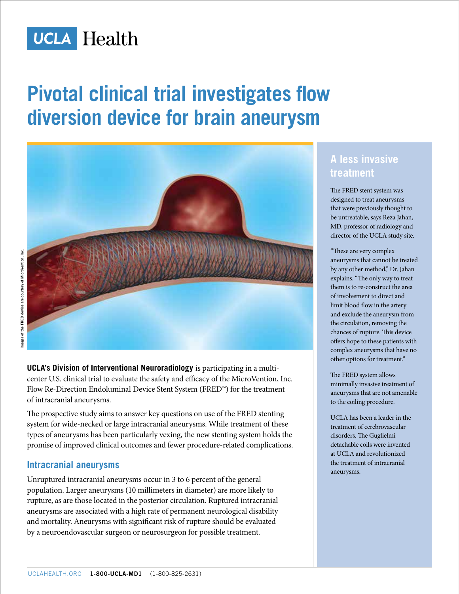

# **Pivotal clinical trial investigates flow diversion device for brain aneurysm**



**UCLA's Division of Interventional Neuroradiology** is participating in a multicenter U.S. clinical trial to evaluate the safety and efficacy of the MicroVention, Inc. Flow Re-Direction Endoluminal Device Stent System (FRED™) for the treatment of intracranial aneurysms.

The prospective study aims to answer key questions on use of the FRED stenting system for wide-necked or large intracranial aneurysms. While treatment of these types of aneurysms has been particularly vexing, the new stenting system holds the promise of improved clinical outcomes and fewer procedure-related complications.

#### **Intracranial aneurysms**

Unruptured intracranial aneurysms occur in 3 to 6 percent of the general population. Larger aneurysms (10 millimeters in diameter) are more likely to rupture, as are those located in the posterior circulation. Ruptured intracranial aneurysms are associated with a high rate of permanent neurological disability and mortality. Aneurysms with significant risk of rupture should be evaluated by a neuroendovascular surgeon or neurosurgeon for possible treatment.

## **A less invasive treatment**

The FRED stent system was designed to treat aneurysms that were previously thought to be untreatable, says Reza Jahan, MD, professor of radiology and director of the UCLA study site.

"These are very complex aneurysms that cannot be treated by any other method," Dr. Jahan explains. "The only way to treat them is to re-construct the area of involvement to direct and limit blood flow in the artery and exclude the aneurysm from the circulation, removing the chances of rupture. This device offers hope to these patients with complex aneurysms that have no other options for treatment."

The FRED system allows minimally invasive treatment of aneurysms that are not amenable to the coiling procedure.

UCLA has been a leader in the treatment of cerebrovascular disorders. The Guglielmi detachable coils were invented at UCLA and revolutionized the treatment of intracranial aneurysms.